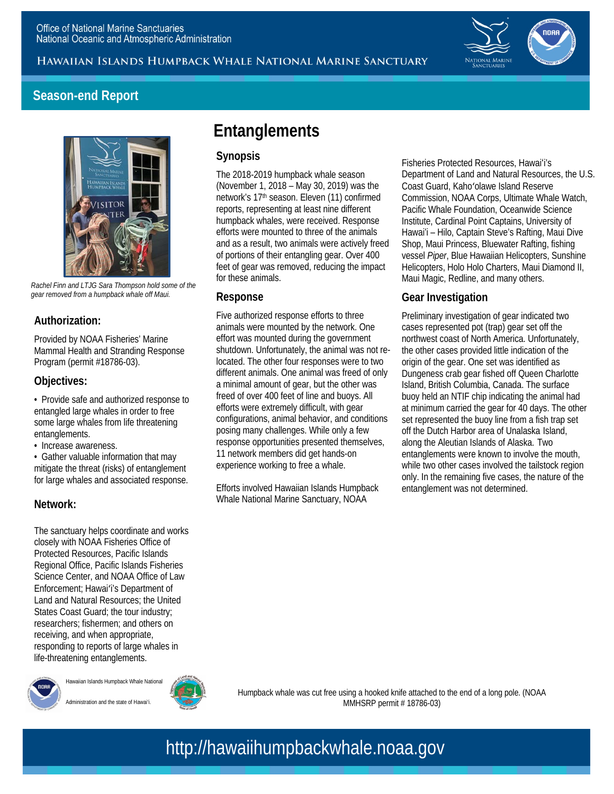Hawaiian Islands Humpback Whale National Marine Sanctuary



### **Season-end Report**



 *Rachel Finn and LTJG Sara Thompson hold some of the gear removed from a humpback whale off Maui.* 

#### **Authorization:**

 Provided by NOAA Fisheries' Marine Mammal Health and Stranding Response Program (permit #18786-03).

#### **Objectives:**

 • Provide safe and authorized response to entangled large whales in order to free some large whales from life threatening entanglements.

• Increase awareness.

 mitigate the threat (risks) of entanglement • Gather valuable information that may for large whales and associated response.

#### **Network:**

 The sanctuary helps coordinate and works closely with NOAA Fisheries Office of Protected Resources, Pacific Islands Regional Office, Pacific Islands Fisheries Science Center, and NOAA Office of Law Enforcement; Hawaiʻi's Department of Land and Natural Resources; the United States Coast Guard; the tour industry; responding to reports of large whales in researchers; fishermen; and others on receiving, and when appropriate, life-threatening entanglements.



#### Hawaiian Islands Humpback Whale National Administration and the state of Hawai'i.



 Humpback whale was cut free using a hooked knife attached to the end of a long pole. (NOAA MMHSRP permit # 18786-03)

## http://hawaiihumpbackwhale.noaa.gov

## **Entanglements**

#### **Synopsis**

 The 2018-2019 humpback whale season (November 1, 2018 – May 30, 2019) was the reports, representing at least nine different and as a result, two animals were actively freed of portions of their entangling gear. Over 400 feet of gear was removed, reducing the impact network's 17th season. Eleven (11) confirmed humpback whales, were received. Response efforts were mounted to three of the animals for these animals.

#### **Response**

 animals were mounted by the network. One effort was mounted during the government shutdown. Unfortunately, the animal was not re- different animals. One animal was freed of only a minimal amount of gear, but the other was efforts were extremely difficult, with gear configurations, animal behavior, and conditions posing many challenges. While only a few 11 network members did get hands-on Five authorized response efforts to three located. The other four responses were to two freed of over 400 feet of line and buoys. All response opportunities presented themselves, experience working to free a whale.

 Efforts involved Hawaiian Islands Humpback Whale National Marine Sanctuary, NOAA

 Department of Land and Natural Resources, the U.S. Coast Guard, Kahoʻolawe Island Reserve Pacific Whale Foundation, Oceanwide Science Hawai'i – Hilo, Captain Steve's Rafting, Maui Dive Shop, Maui Princess, Bluewater Rafting, fishing Helicopters, Holo Holo Charters, Maui Diamond II, Maui Magic, Redline, and many others. Fisheries Protected Resources, Hawaiʻi's Commission, NOAA Corps, Ultimate Whale Watch, Institute, Cardinal Point Captains, University of vessel *Piper*, Blue Hawaiian Helicopters, Sunshine

#### **Gear Investigation**

 Preliminary investigation of gear indicated two cases represented pot (trap) gear set off the northwest coast of North America. Unfortunately, the other cases provided little indication of the origin of the gear. One set was identified as Dungeness crab gear fished off Queen Charlotte buoy held an NTIF chip indicating the animal had at minimum carried the gear for 40 days. The other set represented the buoy line from a fish trap set off the Dutch Harbor area of Unalaska Island, along the Aleutian Islands of Alaska. Two while two other cases involved the tailstock region only. In the remaining five cases, the nature of the entanglement was not determined. Island, British Columbia, Canada. The surface entanglements were known to involve the mouth,